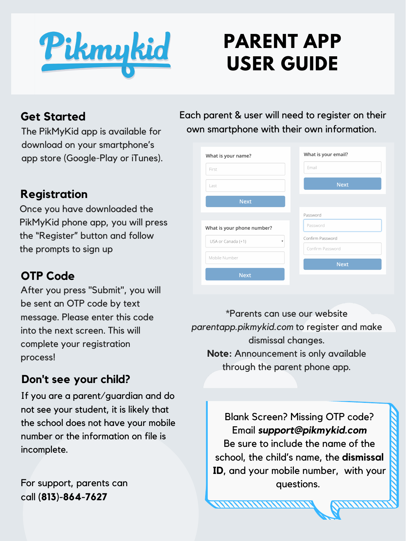Pikmykid

# **PARENT APP USER GUIDE**

### **Get Started**

The PikMyKid app is available for download on your smartphone's app store (Google-Play or iTunes).

## **Registration**

Once you have downloaded the PikMyKid phone app, you will press the "Register" button and follow the prompts to sign up

#### **OTP Code**

For support, parents can call **(813)-864-7627**

Each parent & user will need to register on their own smartphone with their own information.

| What is your name?                         | What is your email? |
|--------------------------------------------|---------------------|
| First                                      | Email               |
| Last                                       | <b>Next</b>         |
| <b>Next</b>                                |                     |
|                                            | Password            |
| What is your phone number?                 | Password            |
| USA or Canada (+1)<br>$\blacktriangledown$ | Confirm Password    |
| Mobile Number                              | Confirm Password    |
|                                            | <b>Next</b>         |
| <b>Next</b>                                |                     |

After you press "Submit" , you will be sent an OTP code by text message. Please enter this code into the next screen. This will complete your registration process!

> Blank Screen? Missing OTP code? Email *support@pikmykid.com* Be sure to include the name of the school, the child's name, the **dismissal ID**, and your mobile number, with your questions.

## **Don't see your child?**

If you are a parent/guardian and do not see your student, it is likely that the school does not have your mobile number or the information on file is incomplete.

\*Parents can use our website *parentapp.pikmykid.com* to register and make dismissal changes. **Note:** Announcement is only available through the parent phone app.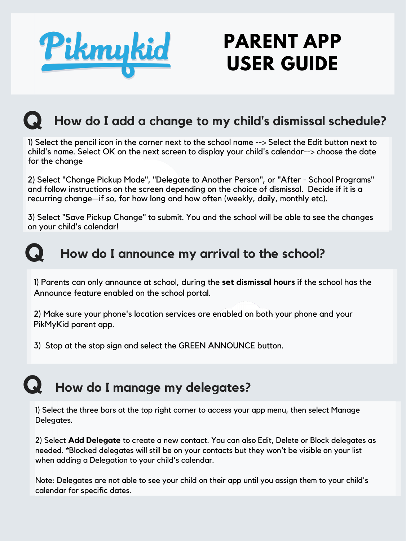

# **PARENT APP USER GUIDE**

## **Q How do <sup>I</sup> add <sup>a</sup> change to my child's dismissal schedule?**

## **Q How do <sup>I</sup> announce my arrival to the school?**

1) Parents can only announce at school, during the **set dismissal hours** if the school has the Announce feature enabled on the school portal.

2) Make sure your phone's location services are enabled on both your phone and your PikMyKid parent app.

3) Stop at the stop sign and select the GREEN ANNOUNCE button.

2) Select "Change Pickup Mode", "Delegate to Another Person", or "After - School Programs" and follow instructions on the screen depending on the choice of dismissal. Decide if it is a recurring change—if so, for how long and how often (weekly, daily, monthly etc).

1) Select the pencil icon in the corner next to the school name --> Select the Edit button next to child's name. Select OK on the next screen to display your child's calendar--> choose the date for the change

3) Select "Save Pickup Change" to submit. You and the school will be able to see the changes on your child's calendar!

## **Q How do <sup>I</sup> manage my delegates?**

1) Select the three bars at the top right corner to access your app menu, then select Manage Delegates.

2) Select **Add Delegate** to create a new contact. You can also Edit, Delete or Block delegates as needed. \*Blocked delegates will still be on your contacts but they won't be visible on your list when adding a Delegation to your child's calendar.

Note: Delegates are not able to see your child on their app until you assign them to your child's calendar for specific dates.